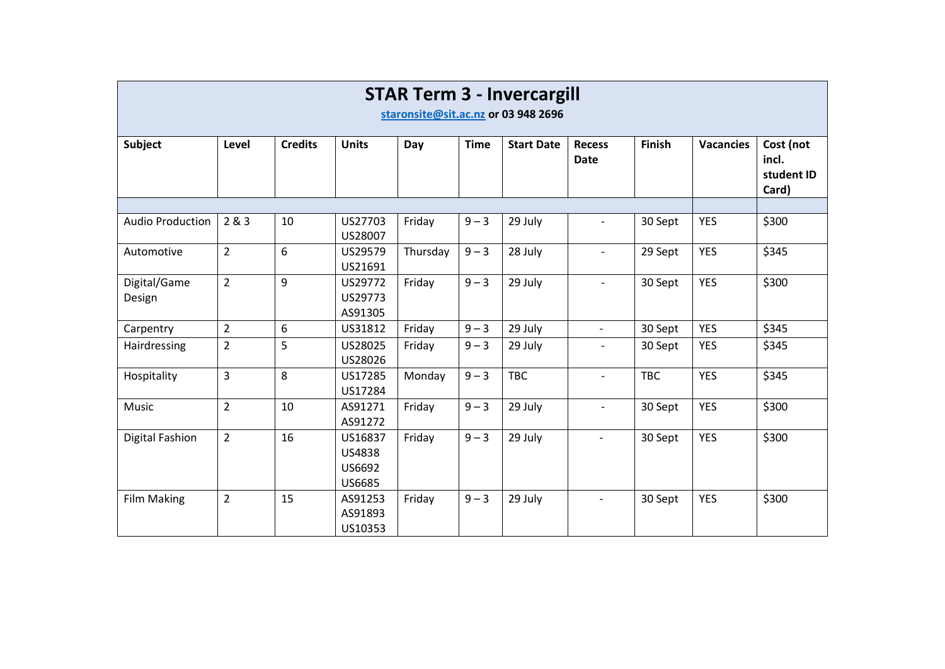| <b>STAR Term 3 - Invercargill</b><br>staronsite@sit.ac.nz or 03 948 2696 |                |                |                                                     |          |             |                   |                              |               |                  |                                           |
|--------------------------------------------------------------------------|----------------|----------------|-----------------------------------------------------|----------|-------------|-------------------|------------------------------|---------------|------------------|-------------------------------------------|
| Subject                                                                  | Level          | <b>Credits</b> | <b>Units</b>                                        | Day      | <b>Time</b> | <b>Start Date</b> | <b>Recess</b><br><b>Date</b> | <b>Finish</b> | <b>Vacancies</b> | Cost (not<br>incl.<br>student ID<br>Card) |
|                                                                          |                |                |                                                     |          |             |                   |                              |               |                  |                                           |
| <b>Audio Production</b>                                                  | 2 & 3          | 10             | US27703<br>US28007                                  | Friday   | $9 - 3$     | 29 July           | $\overline{a}$               | 30 Sept       | <b>YES</b>       | \$300                                     |
| Automotive                                                               | $\overline{2}$ | 6              | US29579<br>US21691                                  | Thursday | $9 - 3$     | 28 July           | $\blacksquare$               | 29 Sept       | <b>YES</b>       | \$345                                     |
| Digital/Game<br>Design                                                   | $\overline{2}$ | 9              | US29772<br>US29773<br>AS91305                       | Friday   | $9 - 3$     | 29 July           | $\overline{\phantom{a}}$     | 30 Sept       | <b>YES</b>       | \$300                                     |
| Carpentry                                                                | $\overline{2}$ | 6              | US31812                                             | Friday   | $9 - 3$     | 29 July           | $\overline{a}$               | 30 Sept       | <b>YES</b>       | \$345                                     |
| Hairdressing                                                             | $\overline{2}$ | 5              | US28025<br>US28026                                  | Friday   | $9 - 3$     | 29 July           | $\overline{a}$               | 30 Sept       | <b>YES</b>       | \$345                                     |
| Hospitality                                                              | 3              | 8              | US17285<br>US17284                                  | Monday   | $9 - 3$     | <b>TBC</b>        | $\overline{a}$               | <b>TBC</b>    | <b>YES</b>       | \$345                                     |
| Music                                                                    | $\overline{2}$ | 10             | AS91271<br>AS91272                                  | Friday   | $9 - 3$     | 29 July           | $\overline{\phantom{a}}$     | 30 Sept       | <b>YES</b>       | \$300                                     |
| Digital Fashion                                                          | $\overline{2}$ | 16             | US16837<br><b>US4838</b><br>US6692<br><b>US6685</b> | Friday   | $9 - 3$     | 29 July           | $\overline{\phantom{a}}$     | 30 Sept       | <b>YES</b>       | \$300                                     |
| <b>Film Making</b>                                                       | $\overline{2}$ | 15             | AS91253<br>AS91893<br>US10353                       | Friday   | $9 - 3$     | 29 July           | $\overline{\phantom{a}}$     | 30 Sept       | <b>YES</b>       | \$300                                     |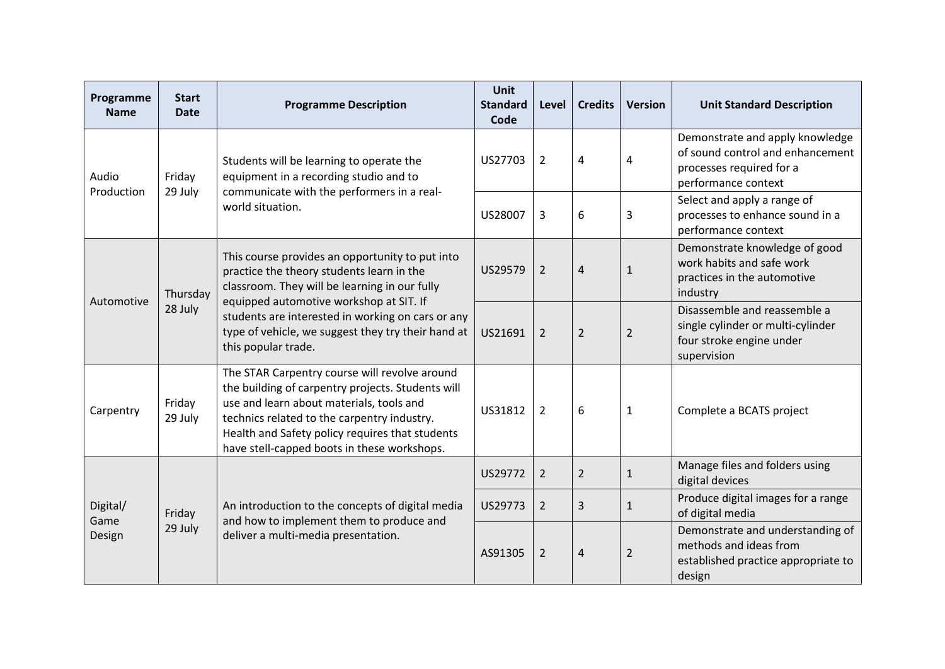| Programme<br><b>Name</b>                 | <b>Start</b><br><b>Date</b> | <b>Programme Description</b>                                                                                                                                                                                                                                                                                               | <b>Unit</b><br><b>Standard</b><br>Code | Level          | <b>Credits</b> | <b>Version</b> | <b>Unit Standard Description</b>                                                                                       |
|------------------------------------------|-----------------------------|----------------------------------------------------------------------------------------------------------------------------------------------------------------------------------------------------------------------------------------------------------------------------------------------------------------------------|----------------------------------------|----------------|----------------|----------------|------------------------------------------------------------------------------------------------------------------------|
| Audio<br>Friday<br>Production<br>29 July |                             | Students will be learning to operate the<br>equipment in a recording studio and to                                                                                                                                                                                                                                         | US27703                                | $\overline{2}$ | 4              | 4              | Demonstrate and apply knowledge<br>of sound control and enhancement<br>processes required for a<br>performance context |
|                                          |                             | communicate with the performers in a real-<br>world situation.                                                                                                                                                                                                                                                             |                                        | 3              | 6              | 3              | Select and apply a range of<br>processes to enhance sound in a<br>performance context                                  |
| Automotive<br>28 July                    | Thursday                    | This course provides an opportunity to put into<br>practice the theory students learn in the<br>classroom. They will be learning in our fully<br>equipped automotive workshop at SIT. If<br>students are interested in working on cars or any<br>type of vehicle, we suggest they try their hand at<br>this popular trade. | US29579                                | $\overline{2}$ | $\overline{4}$ | $1\,$          | Demonstrate knowledge of good<br>work habits and safe work<br>practices in the automotive<br>industry                  |
|                                          |                             |                                                                                                                                                                                                                                                                                                                            | US21691                                | $\overline{2}$ | $\overline{2}$ | $\overline{2}$ | Disassemble and reassemble a<br>single cylinder or multi-cylinder<br>four stroke engine under<br>supervision           |
| Carpentry                                | Friday<br>29 July           | The STAR Carpentry course will revolve around<br>the building of carpentry projects. Students will<br>use and learn about materials, tools and<br>technics related to the carpentry industry.<br>Health and Safety policy requires that students<br>have stell-capped boots in these workshops.                            | US31812                                | $\overline{2}$ | 6              | $\mathbf{1}$   | Complete a BCATS project                                                                                               |
| Digital/<br>Game<br>Design               |                             | An introduction to the concepts of digital media<br>and how to implement them to produce and<br>deliver a multi-media presentation.                                                                                                                                                                                        | US29772                                | $\overline{2}$ | $\overline{2}$ | $\mathbf{1}$   | Manage files and folders using<br>digital devices                                                                      |
|                                          | Friday                      |                                                                                                                                                                                                                                                                                                                            | US29773                                | $\overline{2}$ | 3              | $\mathbf{1}$   | Produce digital images for a range<br>of digital media                                                                 |
|                                          | 29 July                     |                                                                                                                                                                                                                                                                                                                            | AS91305                                | $\overline{2}$ | $\sqrt{4}$     | $\overline{2}$ | Demonstrate and understanding of<br>methods and ideas from<br>established practice appropriate to<br>design            |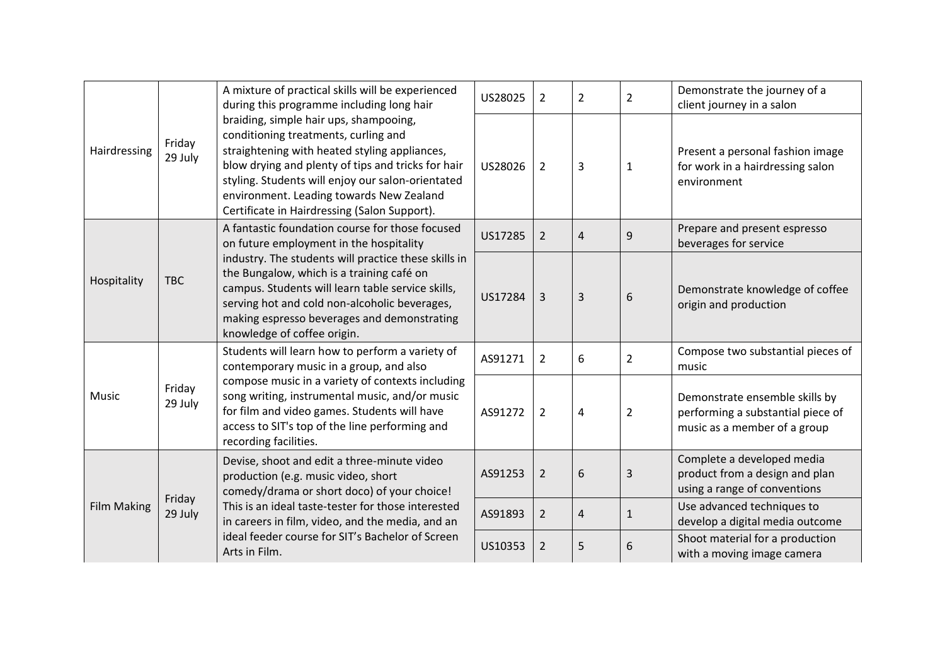| Hairdressing              |                                                                                                                                                                                                                                                    | A mixture of practical skills will be experienced<br>during this programme including long hair                                                                                                                                                                                                                                         | US28025        | $\overline{2}$ | $\overline{2}$ | $\overline{2}$                                                                                      | Demonstrate the journey of a<br>client journey in a salon                                    |
|---------------------------|----------------------------------------------------------------------------------------------------------------------------------------------------------------------------------------------------------------------------------------------------|----------------------------------------------------------------------------------------------------------------------------------------------------------------------------------------------------------------------------------------------------------------------------------------------------------------------------------------|----------------|----------------|----------------|-----------------------------------------------------------------------------------------------------|----------------------------------------------------------------------------------------------|
|                           | Friday<br>29 July                                                                                                                                                                                                                                  | braiding, simple hair ups, shampooing,<br>conditioning treatments, curling and<br>straightening with heated styling appliances,<br>blow drying and plenty of tips and tricks for hair<br>styling. Students will enjoy our salon-orientated<br>environment. Leading towards New Zealand<br>Certificate in Hairdressing (Salon Support). | US28026        | $\overline{2}$ | 3              | $\mathbf{1}$                                                                                        | Present a personal fashion image<br>for work in a hairdressing salon<br>environment          |
| Hospitality<br><b>TBC</b> |                                                                                                                                                                                                                                                    | A fantastic foundation course for those focused<br>on future employment in the hospitality                                                                                                                                                                                                                                             | US17285        | $\overline{2}$ | 4              | 9                                                                                                   | Prepare and present espresso<br>beverages for service                                        |
|                           |                                                                                                                                                                                                                                                    | industry. The students will practice these skills in<br>the Bungalow, which is a training café on<br>campus. Students will learn table service skills,<br>serving hot and cold non-alcoholic beverages,<br>making espresso beverages and demonstrating<br>knowledge of coffee origin.                                                  | US17284        | $\overline{3}$ | 3              | 6                                                                                                   | Demonstrate knowledge of coffee<br>origin and production                                     |
| Music                     |                                                                                                                                                                                                                                                    | Students will learn how to perform a variety of<br>contemporary music in a group, and also                                                                                                                                                                                                                                             | AS91271        | $\overline{2}$ | 6              | $\overline{2}$                                                                                      | Compose two substantial pieces of<br>music                                                   |
|                           | compose music in a variety of contexts including<br>Friday<br>song writing, instrumental music, and/or music<br>29 July<br>for film and video games. Students will have<br>access to SIT's top of the line performing and<br>recording facilities. | AS91272                                                                                                                                                                                                                                                                                                                                | $\overline{2}$ | 4              | $\overline{2}$ | Demonstrate ensemble skills by<br>performing a substantial piece of<br>music as a member of a group |                                                                                              |
| <b>Film Making</b>        |                                                                                                                                                                                                                                                    | Devise, shoot and edit a three-minute video<br>production (e.g. music video, short<br>comedy/drama or short doco) of your choice!<br>This is an ideal taste-tester for those interested<br>in careers in film, video, and the media, and an<br>ideal feeder course for SIT's Bachelor of Screen<br>Arts in Film.                       | AS91253        | $\overline{2}$ | 6              | 3                                                                                                   | Complete a developed media<br>product from a design and plan<br>using a range of conventions |
|                           | Friday<br>29 July                                                                                                                                                                                                                                  |                                                                                                                                                                                                                                                                                                                                        | AS91893        | $\overline{2}$ | 4              | $\mathbf{1}$                                                                                        | Use advanced techniques to<br>develop a digital media outcome                                |
|                           |                                                                                                                                                                                                                                                    |                                                                                                                                                                                                                                                                                                                                        | US10353        | $\overline{2}$ | 5              | 6                                                                                                   | Shoot material for a production<br>with a moving image camera                                |